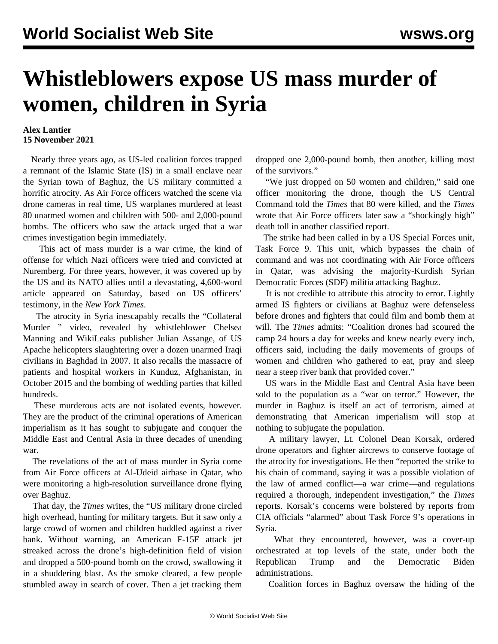## **Whistleblowers expose US mass murder of women, children in Syria**

## **Alex Lantier 15 November 2021**

 Nearly three years ago, as US-led coalition forces trapped a remnant of the Islamic State (IS) in a small enclave near the Syrian town of Baghuz, the US military committed a horrific atrocity. As Air Force officers watched the scene via drone cameras in real time, US warplanes murdered at least 80 unarmed women and children with 500- and 2,000-pound bombs. The officers who saw the attack urged that a war crimes investigation begin immediately.

 This act of mass murder is a war crime, the kind of offense for which Nazi officers were tried and convicted at Nuremberg. For three years, however, it was covered up by the US and its NATO allies until a devastating, 4,600-word article appeared on Saturday, based on US officers' testimony, in the *New York Times*.

 The atrocity in Syria inescapably recalls the ["Collateral](/en/articles/2020/04/06/coll-a06.html) [Murder](/en/articles/2020/04/06/coll-a06.html) " video, revealed by whistleblower Chelsea Manning and WikiLeaks publisher Julian Assange, of US Apache helicopters slaughtering over a dozen unarmed Iraqi civilians in Baghdad in 2007. It also recalls the [massacre of](/en/articles/2015/11/06/pers-n06.html) [patients and hospital workers](/en/articles/2015/11/06/pers-n06.html) in Kunduz, Afghanistan, in October 2015 and the bombing of wedding parties that killed hundreds.

 These murderous acts are not isolated events, however. They are the product of the criminal operations of American imperialism as it has sought to subjugate and conquer the Middle East and Central Asia in three decades of unending war.

 The revelations of the act of mass murder in Syria come from Air Force officers at Al-Udeid airbase in Qatar, who were monitoring a high-resolution surveillance drone flying over Baghuz.

 That day, the *Times* writes, the "US military drone circled high overhead, hunting for military targets. But it saw only a large crowd of women and children huddled against a river bank. Without warning, an American F-15E attack jet streaked across the drone's high-definition field of vision and dropped a 500-pound bomb on the crowd, swallowing it in a shuddering blast. As the smoke cleared, a few people stumbled away in search of cover. Then a jet tracking them

dropped one 2,000-pound bomb, then another, killing most of the survivors."

 "We just dropped on 50 women and children," said one officer monitoring the drone, though the US Central Command told the *Times* that 80 were killed, and the *Times* wrote that Air Force officers later saw a "shockingly high" death toll in another classified report.

 The strike had been called in by a US Special Forces unit, Task Force 9. This unit, which bypasses the chain of command and was not coordinating with Air Force officers in Qatar, was advising the majority-Kurdish Syrian Democratic Forces (SDF) militia attacking Baghuz.

 It is not credible to attribute this atrocity to error. Lightly armed IS fighters or civilians at Baghuz were defenseless before drones and fighters that could film and bomb them at will. The *Times* admits: "Coalition drones had scoured the camp 24 hours a day for weeks and knew nearly every inch, officers said, including the daily movements of groups of women and children who gathered to eat, pray and sleep near a steep river bank that provided cover."

 US wars in the Middle East and Central Asia have been sold to the population as a "war on terror." However, the murder in Baghuz is itself an act of terrorism, aimed at demonstrating that American imperialism will stop at nothing to subjugate the population.

 A military lawyer, Lt. Colonel Dean Korsak, ordered drone operators and fighter aircrews to conserve footage of the atrocity for investigations. He then "reported the strike to his chain of command, saying it was a possible violation of the law of armed conflict—a war crime—and regulations required a thorough, independent investigation," the *Times* reports. Korsak's concerns were bolstered by reports from CIA officials "alarmed" about Task Force 9's operations in Syria.

 What they encountered, however, was a cover-up orchestrated at top levels of the state, under both the Republican Trump and the Democratic Biden administrations.

Coalition forces in Baghuz oversaw the hiding of the